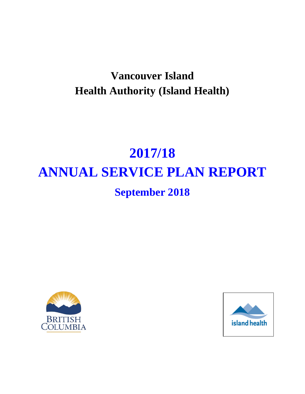# **Vancouver Island Health Authority (Island Health)**

# **2017/18 ANNUAL SERVICE PLAN REPORT**

# **September 2018**



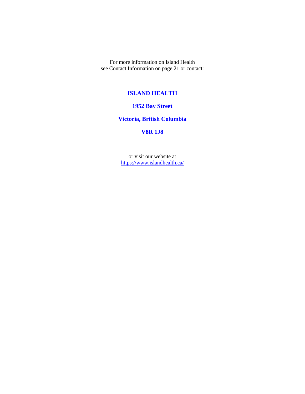For more information on Island Health see Contact Information on page 21 or contact:

#### **ISLAND HEALTH**

#### **1952 Bay Street**

#### **Victoria, British Columbia**

#### **V8R 1J8**

or visit our website at <https://www.islandhealth.ca/>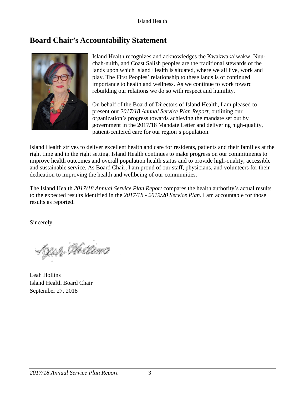# <span id="page-2-0"></span>**Board Chair's Accountability Statement**



Island Health recognizes and acknowledges the Kwakwaka'wakw, Nuuchah-nulth, and Coast Salish peoples are the traditional stewards of the lands upon which Island Health is situated, where we all live, work and play. The First Peoples' relationship to these lands is of continued importance to health and wellness. As we continue to work toward rebuilding our relations we do so with respect and humility.

On behalf of the Board of Directors of Island Health, I am pleased to present our *2017/18 Annual Service Plan Report*, outlining our organization's progress towards achieving the mandate set out by government in the 2017/18 Mandate Letter and delivering high-quality, patient-centered care for our region's population.

Island Health strives to deliver excellent health and care for residents, patients and their families at the right time and in the right setting. Island Health continues to make progress on our commitments to improve health outcomes and overall population health status and to provide high-quality, accessible and sustainable service. As Board Chair, I am proud of our staff, physicians, and volunteers for their dedication to improving the health and wellbeing of our communities.

The Island Health *2017/18 Annual Service Plan Report* compares the health authority's actual results to the expected results identified in the *2017/18 - 2019/20 Service Plan*. I am accountable for those results as reported.

Sincerely,

Lyup Holling

Leah Hollins Island Health Board Chair September 27, 2018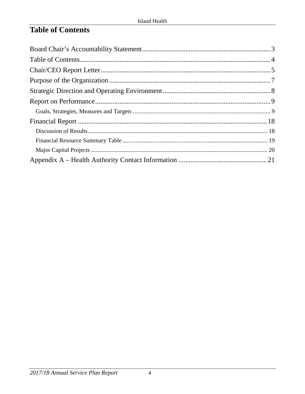# <span id="page-3-0"></span>**Table of Contents**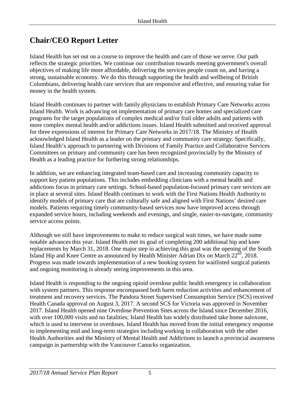# <span id="page-4-0"></span>**Chair/CEO Report Letter**

Island Health has set out on a course to improve the health and care of those we serve. Our path reflects the strategic priorities. We continue our contribution towards meeting government's overall objectives of making life more affordable, delivering the services people count on, and having a strong, sustainable economy. We do this through supporting the health and wellbeing of British Columbians, delivering health care services that are responsive and effective, and ensuring value for money in the health system.

Island Health continues to partner with family physicians to establish Primary Care Networks across Island Health. Work is advancing on implementation of primary care homes and specialized care programs for the target populations of complex medical and/or frail older adults and patients with more complex mental health and/or addictions issues. Island Health submitted and received approval for three expressions of interest for Primary Care Networks in 2017/18. The Ministry of Health acknowledged Island Health as a leader on the primary and community care strategy. Specifically, Island Health's approach to partnering with Divisions of Family Practice and Collaborative Services Committees on primary and community care has been recognized provincially by the Ministry of Health as a leading practice for furthering strong relationships.

In addition, we are enhancing integrated team-based care and increasing community capacity to support key patient populations. This includes embedding clinicians with a mental health and addictions focus in primary care settings. School-based population-focused primary care services are in place at several sites. Island Health continues to work with the First Nations Health Authority to identify models of primary care that are culturally safe and aligned with First Nations' desired care models. Patients requiring timely community-based services now have improved access through expanded service hours, including weekends and evenings, and single, easier-to-navigate, community service access points.

Although we still have improvements to make to reduce surgical wait times, we have made some notable advances this year. Island Health met its goal of completing 200 additional hip and knee replacements by March 31, 2018. One major step in achieving this goal was the opening of the South Island Hip and Knee Centre as announced by Health Minister Adrian Dix on March  $22<sup>nd</sup>$ , 2018. Progress was made towards implementation of a new booking system for waitlisted surgical patients and ongoing monitoring is already seeing improvements in this area.

Island Health is responding to the ongoing opioid overdose public health emergency in collaboration with system partners. This response encompassed both harm reduction activities and enhancement of treatment and recovery services. The Pandora Street Supervised Consumption Service (SCS) received Health Canada approval on August 3, 2017. A second SCS for Victoria was approved in November 2017. Island Health opened nine Overdose Prevention Sites across the Island since December 2016, with over 100,000 visits and no fatalities; Island Health has widely distributed take home naloxone, which is used to intervene in overdoses. Island Health has moved from the initial emergency response to implementing mid and long-term strategies including working in collaboration with the other Health Authorities and the Ministry of Mental Health and Addictions to launch a provincial awareness campaign in partnership with the Vancouver Canucks organization.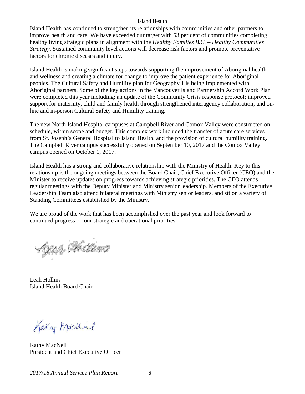#### Island Health

Island Health has continued to strengthen its relationships with communities and other partners to improve health and care. We have exceeded our target with 53 per cent of communities completing healthy living strategic plans in alignment with the *Healthy Families B.C. – Healthy Communities Strategy*. Sustained community level actions will decrease risk factors and promote preventative factors for chronic diseases and injury.

Island Health is making significant steps towards supporting the improvement of Aboriginal health and wellness and creating a climate for change to improve the patient experience for Aboriginal peoples. The Cultural Safety and Humility plan for Geography 1 is being implemented with Aboriginal partners. Some of the key actions in the Vancouver Island Partnership Accord Work Plan were completed this year including: an update of the Community Crisis response protocol; improved support for maternity, child and family health through strengthened interagency collaboration; and online and in-person Cultural Safety and Humility training.

The new North Island Hospital campuses at Campbell River and Comox Valley were constructed on schedule, within scope and budget. This complex work included the transfer of acute care services from St. Joseph's General Hospital to Island Health, and the provision of cultural humility training. The Campbell River campus successfully opened on September 10, 2017 and the Comox Valley campus opened on October 1, 2017.

Island Health has a strong and collaborative relationship with the Ministry of Health. Key to this relationship is the ongoing meetings between the Board Chair, Chief Executive Officer (CEO) and the Minister to receive updates on progress towards achieving strategic priorities. The CEO attends regular meetings with the Deputy Minister and Ministry senior leadership. Members of the Executive Leadership Team also attend bilateral meetings with Ministry senior leaders, and sit on a variety of Standing Committees established by the Ministry.

We are proud of the work that has been accomplished over the past year and look forward to continued progress on our strategic and operational priorities.

Lyup Hillins

Leah Hollins Island Health Board Chair

Kany machiel

Kathy MacNeil President and Chief Executive Officer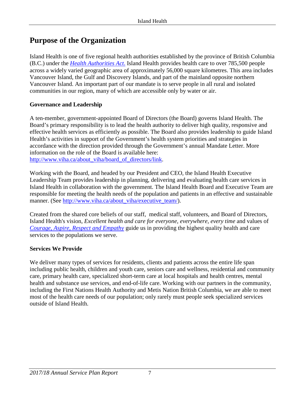# <span id="page-6-0"></span>**Purpose of the Organization**

Island Health is one of five regional health authorities established by the province of British Columbia (B.C.) under the *[Health Authorities Act](http://www.bclaws.ca/civix/document/id/complete/statreg/96180_01)*. Island Health provides health care to over 785,500 people across a widely varied geographic area of approximately 56,000 square kilometres. This area includes Vancouver Island, the Gulf and Discovery Islands, and part of the mainland opposite northern Vancouver Island. An important part of our mandate is to serve people in all rural and isolated communities in our region, many of which are accessible only by water or air.

#### **Governance and Leadership**

A ten-member, government-appointed Board of Directors (the Board) governs Island Health. The Board's primary responsibility is to lead the health authority to deliver high quality, responsive and effective health services as efficiently as possible. The Board also provides leadership to guide Island Health's activities in support of the Government's health system priorities and strategies in accordance with the direction provided through the Government's annual Mandate Letter. More information on the role of the Board is available here: [http://www.viha.ca/about\\_viha/board\\_of\\_directors/link.](http://www.viha.ca/about_viha/board_of_directors/)

Working with the Board, and headed by our President and CEO, the Island Health Executive Leadership Team provides leadership in planning, delivering and evaluating health care services in Island Health in collaboration with the government. The Island Health Board and Executive Team are responsible for meeting the health needs of the population and patients in an effective and sustainable manner. (See [http://www.viha.ca/about\\_viha/executive\\_team/\)](http://www.viha.ca/about_viha/executive_team/).

Created from the shared core beliefs of our staff, medical staff, volunteers, and Board of Directors, Island Health's vision, *Excellent health and care for everyone, everywhere, every time* and values of *[Courage, Aspire, Respect and Empathy](http://www.viha.ca/about_viha/vision.htm)* guide us in providing the highest quality health and care services to the populations we serve.

#### **Services We Provide**

We deliver many types of services for residents, clients and patients across the entire life span including public health, children and youth care, seniors care and wellness, residential and community care, primary health care, specialized short-term care at local hospitals and health centres, mental health and substance use services, and end-of-life care. Working with our partners in the community, including the First Nations Health Authority and Metis Nation British Columbia, we are able to meet most of the health care needs of our population; only rarely must people seek specialized services outside of Island Health.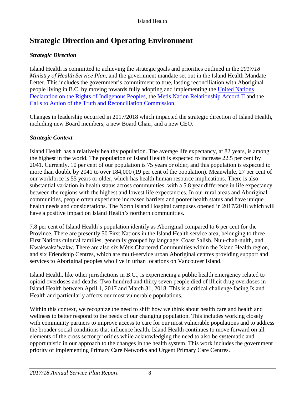# <span id="page-7-0"></span>**Strategic Direction and Operating Environment**

#### *Strategic Direction*

Island Health is committed to achieving the strategic goals and priorities outlined in the *2017/18 Ministry of Health Service Plan*, and the government mandate set out in the Island Health Mandate Letter. This includes the government's commitment to true, lasting reconciliation with Aboriginal people living in B.C. by moving towards fully adopting and implementing the [United Nations](https://www.un.org/development/desa/indigenouspeoples/declaration-on-the-rights-of-indigenous-peoples.html)  [Declaration on the Rights of Indigenous Peoples,](https://www.un.org/development/desa/indigenouspeoples/declaration-on-the-rights-of-indigenous-peoples.html) the [Metis Nation Relationship Accord II](https://www2.gov.bc.ca/assets/gov/british-columbians-our-governments/indigenous-people/aboriginal-peoples-documents/metis_nation_reconciliation_accord_ii_-_nov_16_2016.pdf) and the [Calls to Action of the Truth and Reconciliation Commission.](http://www.trc.ca/websites/trcinstitution/File/2015/Findings/Calls_to_Action_English2.pdf)

Changes in leadership occurred in 2017/2018 which impacted the strategic direction of Island Health, including new Board members, a new Board Chair, and a new CEO.

#### *Strategic Context*

Island Health has a relatively healthy population. The average life expectancy, at 82 years, is among the highest in the world. The population of Island Health is expected to increase 22.5 per cent by 2041. Currently, 10 per cent of our population is 75 years or older, and this population is expected to more than double by 2041 to over 184,000 (19 per cent of the population). Meanwhile, 27 per cent of our workforce is 55 years or older, which has health human resource implications. There is also substantial variation in health status across communities, with a 5.8 year difference in life expectancy between the regions with the highest and lowest life expectancies. In our rural areas and Aboriginal communities, people often experience increased barriers and poorer health status and have unique health needs and considerations. The North Island Hospital campuses opened in 2017/2018 which will have a positive impact on Island Health's northern communities.

7.8 per cent of Island Health's population identify as Aboriginal compared to 6 per cent for the Province. There are presently 50 First Nations in the Island Health service area, belonging to three First Nations cultural families, generally grouped by language: Coast Salish, Nuu-chah-nulth, and Kwakwaka'wakw*.* There are also six Métis Chartered Communities within the Island Health region, and six Friendship Centres, which are multi-service urban Aboriginal centres providing support and services to Aboriginal peoples who live in urban locations on Vancouver Island.

Island Health, like other jurisdictions in B.C., is experiencing a public health emergency related to opioid overdoses and deaths. Two hundred and thirty seven people died of illicit drug overdoses in Island Health between April 1, 2017 and March 31, 2018. This is a critical challenge facing Island Health and particularly affects our most vulnerable populations.

Within this context, we recognize the need to shift how we think about health care and health and wellness to better respond to the needs of our changing population. This includes working closely with community partners to improve access to care for our most vulnerable populations and to address the broader social conditions that influence health. Island Health continues to move forward on all elements of the cross sector priorities while acknowledging the need to also be systematic and opportunistic in our approach to the changes in the health system. This work includes the government priority of implementing Primary Care Networks and Urgent Primary Care Centres.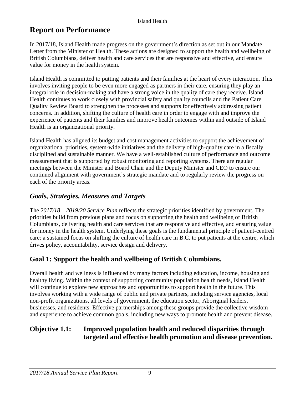## <span id="page-8-0"></span>**Report on Performance**

In 2017/18, Island Health made progress on the government's direction as set out in our Mandate Letter from the Minister of Health. These actions are designed to support the health and wellbeing of British Columbians, deliver health and care services that are responsive and effective, and ensure value for money in the health system.

Island Health is committed to putting patients and their families at the heart of every interaction. This involves inviting people to be even more engaged as partners in their care, ensuring they play an integral role in decision-making and have a strong voice in the quality of care they receive. Island Health continues to work closely with provincial safety and quality councils and the Patient Care Quality Review Board to strengthen the processes and supports for effectively addressing patient concerns. In addition, shifting the culture of health care in order to engage with and improve the experience of patients and their families and improve health outcomes within and outside of Island Health is an organizational priority.

Island Health has aligned its budget and cost management activities to support the achievement of organizational priorities, system-wide initiatives and the delivery of high-quality care in a fiscally disciplined and sustainable manner. We have a well-established culture of performance and outcome measurement that is supported by robust monitoring and reporting systems. There are regular meetings between the Minister and Board Chair and the Deputy Minister and CEO to ensure our continued alignment with government's strategic mandate and to regularly review the progress on each of the priority areas.

#### <span id="page-8-1"></span>*Goals, Strategies, Measures and Targets*

The *2017/18 – 2019/20 Service Plan* reflects the strategic priorities identified by government. The priorities build from previous plans and focus on supporting the health and wellbeing of British Columbians, delivering health and care services that are responsive and effective, and ensuring value for money in the health system. Underlying these goals is the fundamental principle of patient-centred care: a sustained focus on shifting the culture of health care in B.C. to put patients at the centre, which drives policy, accountability, service design and delivery.

## **Goal 1: Support the health and wellbeing of British Columbians.**

Overall health and wellness is influenced by many factors including education, income, housing and healthy living. Within the context of supporting community population health needs, Island Health will continue to explore new approaches and opportunities to support health in the future. This involves working with a wide range of public and private partners, including service agencies, local non-profit organizations, all levels of government, the education sector, Aboriginal leaders, businesses, and residents. Effective partnerships among these groups provide the collective wisdom and experience to achieve common goals, including new ways to promote health and prevent disease.

#### **Objective 1.1: Improved population health and reduced disparities through targeted and effective health promotion and disease prevention.**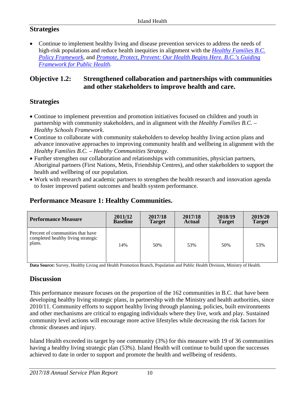#### **Strategies**

• Continue to implement healthy living and disease prevention services to address the needs of high-risk populations and reduce health inequities in alignment with the *[Healthy Families B.C.](http://www.health.gov.bc.ca/library/publications/year/2014/healthy-families-bc-policy-framework.pdf) [Policy Framework,](http://www.health.gov.bc.ca/library/publications/year/2014/healthy-families-bc-policy-framework.pdf)* and *[Promote, Protect, Prevent: Our Health Begins Here. B.C.'s Guiding](http://www.health.gov.bc.ca/library/publications/year/2013/BC-guiding-framework-for-public-health.pdf)  [Framework for Public Health](http://www.health.gov.bc.ca/library/publications/year/2013/BC-guiding-framework-for-public-health.pdf)*.

#### **Objective 1.2: Strengthened collaboration and partnerships with communities and other stakeholders to improve health and care.**

#### **Strategies**

- Continue to implement prevention and promotion initiatives focused on children and youth in partnership with community stakeholders, and in alignment with the *Healthy Families B.C. – Healthy Schools Framework*.
- Continue to collaborate with community stakeholders to develop healthy living action plans and advance innovative approaches to improving community health and wellbeing in alignment with the *Healthy Families B.C. – Healthy Communities Strategy*.
- Further strengthen our collaboration and relationships with communities, physician partners, Aboriginal partners (First Nations, Metis, Friendship Centres), and other stakeholders to support the health and wellbeing of our population.
- Work with research and academic partners to strengthen the health research and innovation agenda to foster improved patient outcomes and health system performance.

#### **Performance Measure 1: Healthy Communities.**

| <b>Performance Measure</b>                                                       | 2011/12         | 2017/18       | 2017/18       | 2018/19       | 2019/20       |
|----------------------------------------------------------------------------------|-----------------|---------------|---------------|---------------|---------------|
|                                                                                  | <b>Baseline</b> | <b>Target</b> | <b>Actual</b> | <b>Target</b> | <b>Target</b> |
| Percent of communities that have<br>completed healthy living strategic<br>plans. | 14%             | 50%           | 53%           | 50%           | 53%           |

**Data Source:** Survey, Healthy Living and Health Promotion Branch, Population and Public Health Division, Ministry of Health.

#### **Discussion**

This performance measure focuses on the proportion of the 162 communities in B.C. that have been developing healthy living strategic plans, in partnership with the Ministry and health authorities, since 2010/11. Community efforts to support healthy living through planning, policies, built environments and other mechanisms are critical to engaging individuals where they live, work and play. Sustained community level actions will encourage more active lifestyles while decreasing the risk factors for chronic diseases and injury.

Island Health exceeded its target by one community (3%) for this measure with 19 of 36 communities having a healthy living strategic plan (53%). Island Health will continue to build upon the successes achieved to date in order to support and promote the health and wellbeing of residents.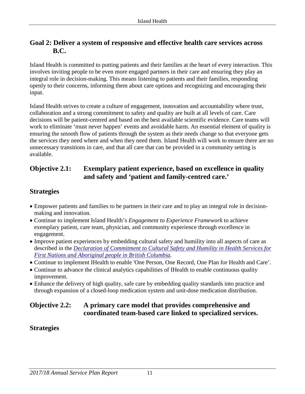#### **Goal 2: Deliver a system of responsive and effective health care services across B.C.**

Island Health is committed to putting patients and their families at the heart of every interaction. This involves inviting people to be even more engaged partners in their care and ensuring they play an integral role in decision-making. This means listening to patients and their families, responding openly to their concerns, informing them about care options and recognizing and encouraging their input.

Island Health strives to create a culture of engagement, innovation and accountability where trust, collaboration and a strong commitment to safety and quality are built at all levels of care. Care decisions will be patient-centred and based on the best available scientific evidence. Care teams will work to eliminate 'must never happen' events and avoidable harm. An essential element of quality is ensuring the smooth flow of patients through the system as their needs change so that everyone gets the services they need where and when they need them. Island Health will work to ensure there are no unnecessary transitions in care, and that all care that can be provided in a community setting is available.

#### **Objective 2.1: Exemplary patient experience, based on excellence in quality and safety and 'patient and family-centred care.'**

#### **Strategies**

- Empower patients and families to be partners in their care and to play an integral role in decisionmaking and innovation.
- Continue to implement Island Health's *Engagement to Experience Framework* to achieve exemplary patient, care team, physician, and community experience through excellence in engagement.
- Improve patient experiences by embedding cultural safety and humility into all aspects of care as described in the *[Declaration of Commitment to Cultural Safety and Humility in Health Services for](http://www.fnha.ca/Documents/Declaration-of-Commitment-on-Cultural-Safety-and-Humility-in-Health-Services.pdf)  [First Nations and Aboriginal people in British Columbia.](http://www.fnha.ca/Documents/Declaration-of-Commitment-on-Cultural-Safety-and-Humility-in-Health-Services.pdf)*
- Continue to implement IHealth to enable 'One Person, One Record, One Plan for Health and Care'.
- Continue to advance the clinical analytics capabilities of IHealth to enable continuous quality improvement.
- Enhance the delivery of high quality, safe care by embedding quality standards into practice and through expansion of a closed-loop medication system and unit-dose medication distribution.

#### **Objective 2.2: A primary care model that provides comprehensive and coordinated team-based care linked to specialized services.**

#### **Strategies**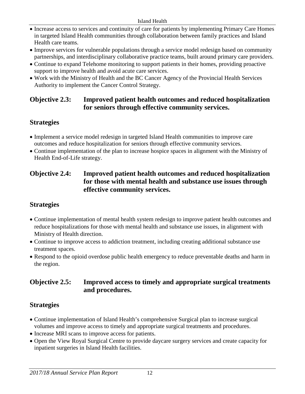- Increase access to services and continuity of care for patients by implementing Primary Care Homes in targeted Island Health communities through collaboration between family practices and Island Health care teams.
- Improve services for vulnerable populations through a service model redesign based on community partnerships, and interdisciplinary collaborative practice teams, built around primary care providers.
- Continue to expand Telehome monitoring to support patients in their homes, providing proactive support to improve health and avoid acute care services.
- Work with the Ministry of Health and the BC Cancer Agency of the Provincial Health Services Authority to implement the Cancer Control Strategy.

#### **Objective 2.3: Improved patient health outcomes and reduced hospitalization for seniors through effective community services.**

## **Strategies**

- Implement a service model redesign in targeted Island Health communities to improve care outcomes and reduce hospitalization for seniors through effective community services.
- Continue implementation of the plan to increase hospice spaces in alignment with the Ministry of Health End-of-Life strategy.

#### **Objective 2.4: Improved patient health outcomes and reduced hospitalization for those with mental health and substance use issues through effective community services.**

#### **Strategies**

- Continue implementation of mental health system redesign to improve patient health outcomes and reduce hospitalizations for those with mental health and substance use issues, in alignment with Ministry of Health direction.
- Continue to improve access to addiction treatment, including creating additional substance use treatment spaces.
- Respond to the opioid overdose public health emergency to reduce preventable deaths and harm in the region.

#### **Objective 2.5: Improved access to timely and appropriate surgical treatments and procedures.**

#### **Strategies**

- Continue implementation of Island Health's comprehensive Surgical plan to increase surgical volumes and improve access to timely and appropriate surgical treatments and procedures.
- Increase MRI scans to improve access for patients.
- Open the View Royal Surgical Centre to provide daycare surgery services and create capacity for inpatient surgeries in Island Health facilities.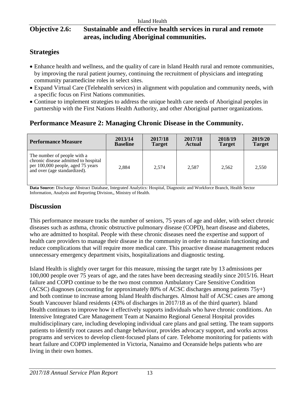### **Objective 2.6: Sustainable and effective health services in rural and remote areas, including Aboriginal communities.**

### **Strategies**

- Enhance health and wellness, and the quality of care in Island Health rural and remote communities, by improving the rural patient journey, continuing the recruitment of physicians and integrating community paramedicine roles in select sites.
- Expand Virtual Care (Telehealth services) in alignment with population and community needs, with a specific focus on First Nations communities.
- Continue to implement strategies to address the unique health care needs of Aboriginal peoples in partnership with the First Nations Health Authority, and other Aboriginal partner organizations.

## **Performance Measure 2: Managing Chronic Disease in the Community.**

| <b>Performance Measure</b>                                                                                                               | 2013/14         | 2017/18       | 2017/18 | 2018/19       | 2019/20       |
|------------------------------------------------------------------------------------------------------------------------------------------|-----------------|---------------|---------|---------------|---------------|
|                                                                                                                                          | <b>Baseline</b> | <b>Target</b> | Actual  | <b>Target</b> | <b>Target</b> |
| The number of people with a<br>chronic disease admitted to hospital<br>per 100,000 people, aged 75 years<br>and over (age standardized). | 2,884           | 2.574         | 2,587   | 2,562         | 2,550         |

**Data Source:** Discharge Abstract Database, Integrated Analytics: Hospital, Diagnostic and Workforce Branch, Health Sector Information, Analysis and Reporting Division,, Ministry of Health.

#### **Discussion**

This performance measure tracks the number of seniors, 75 years of age and older, with select chronic diseases such as asthma, chronic obstructive pulmonary disease (COPD), heart disease and diabetes, who are admitted to hospital. People with these chronic diseases need the expertise and support of health care providers to manage their disease in the community in order to maintain functioning and reduce complications that will require more medical care. This proactive disease management reduces unnecessary emergency department visits, hospitalizations and diagnostic testing.

Island Health is slightly over target for this measure, missing the target rate by 13 admissions per 100,000 people over 75 years of age, and the rates have been decreasing steadily since 2015/16. Heart failure and COPD continue to be the two most common Ambulatory Care Sensitive Condition (ACSC) diagnoses (accounting for approximately 80% of ACSC discharges among patients 75y+) and both continue to increase among Island Health discharges. Almost half of ACSC cases are among South Vancouver Island residents (43% of discharges in 2017/18 as of the third quarter). Island Health continues to improve how it effectively supports individuals who have chronic conditions. An Intensive Integrated Care Management Team at Nanaimo Regional General Hospital provides multidisciplinary care, including developing individual care plans and goal setting. The team supports patients to identify root causes and change behaviour, provides advocacy support, and works across programs and services to develop client-focused plans of care. Telehome monitoring for patients with heart failure and COPD implemented in Victoria, Nanaimo and Oceanside helps patients who are living in their own homes.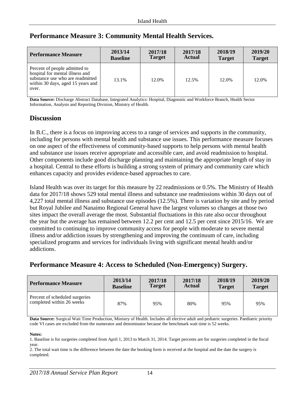| <b>Performance Measure</b>                                                                                                                         | 2013/14         | 2017/18       | 2017/18       | 2018/19       | 2019/20       |
|----------------------------------------------------------------------------------------------------------------------------------------------------|-----------------|---------------|---------------|---------------|---------------|
|                                                                                                                                                    | <b>Baseline</b> | <b>Target</b> | <b>Actual</b> | <b>Target</b> | <b>Target</b> |
| Percent of people admitted to<br>hospital for mental illness and<br>substance use who are readmitted<br>within 30 days, aged 15 years and<br>over. | 13.1%           | 12.0%         | 12.5%         | 12.0%         | 12.0%         |

#### **Performance Measure 3: Community Mental Health Services.**

**Data Source:** Discharge Abstract Database, Integrated Analytics: Hospital, Diagnostic and Workforce Branch, Health Sector Information, Analysis and Reporting Division, Ministry of Health.

#### **Discussion**

In B.C., there is a focus on improving access to a range of services and supports in the community, including for persons with mental health and substance use issues. This performance measure focuses on one aspect of the effectiveness of community-based supports to help persons with mental health and substance use issues receive appropriate and accessible care, and avoid readmission to hospital. Other components include good discharge planning and maintaining the appropriate length of stay in a hospital. Central to these efforts is building a strong system of primary and community care which enhances capacity and provides evidence-based approaches to care.

Island Health was over its target for this measure by 22 readmissions or 0.5%. The Ministry of Health data for 2017/18 shows 529 total mental illness and substance use readmissions within 30 days out of 4,227 total mental illness and substance use episodes (12.5%). There is variation by site and by period but Royal Jubilee and Nanaimo Regional General have the largest volumes so changes at those two sites impact the overall average the most. Substantial fluctuations in this rate also occur throughout the year but the average has remained between 12.2 per cent and 12.5 per cent since 2015/16. We are committed to continuing to improve community access for people with moderate to severe mental illness and/or addiction issues by strengthening and improving the continuum of care, including specialized programs and services for individuals living with significant mental health and/or addictions.

#### **Performance Measure 4: Access to Scheduled (Non-Emergency) Surgery.**

| <b>Performance Measure</b>                                  | 2013/14         | 2017/18       | 2017/18       | 2018/19       | 2019/20       |
|-------------------------------------------------------------|-----------------|---------------|---------------|---------------|---------------|
|                                                             | <b>Baseline</b> | <b>Target</b> | <b>Actual</b> | <b>Target</b> | <b>Target</b> |
| Percent of scheduled surgeries<br>completed within 26 weeks | 87%             | 95%           | 80%           | 95%           | 95%           |

**Data Source:** Surgical Wait Time Production, Ministry of Health. Includes all elective adult and pediatric surgeries. Paediatric priority code VI cases are excluded from the numerator and denominator because the benchmark wait time is 52 weeks.

#### **Notes:**

1. Baseline is for surgeries completed from April 1, 2013 to March 31, 2014. Target percents are for surgeries completed in the fiscal year.

2. The total wait time is the difference between the date the booking form is received at the hospital and the date the surgery is completed.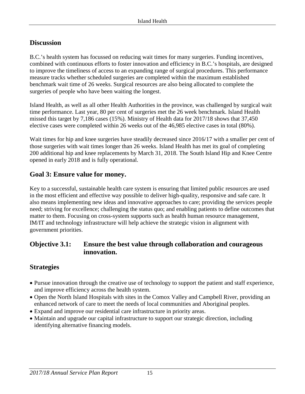#### **Discussion**

B.C.'s health system has focussed on reducing wait times for many surgeries. Funding incentives, combined with continuous efforts to foster innovation and efficiency in B.C.'s hospitals, are designed to improve the timeliness of access to an expanding range of surgical procedures. This performance measure tracks whether scheduled surgeries are completed within the maximum established benchmark wait time of 26 weeks. Surgical resources are also being allocated to complete the surgeries of people who have been waiting the longest.

Island Health, as well as all other Health Authorities in the province, was challenged by surgical wait time performance. Last year, 80 per cent of surgeries met the 26 week benchmark. Island Health missed this target by 7,186 cases (15%). Ministry of Health data for 2017/18 shows that 37,450 elective cases were completed within 26 weeks out of the 46,985 elective cases in total (80%).

Wait times for hip and knee surgeries have steadily decreased since 2016/17 with a smaller per cent of those surgeries with wait times longer than 26 weeks. Island Health has met its goal of completing 200 additional hip and knee replacements by March 31, 2018. The South Island Hip and Knee Centre opened in early 2018 and is fully operational.

#### **Goal 3: Ensure value for money.**

Key to a successful, sustainable health care system is ensuring that limited public resources are used in the most efficient and effective way possible to deliver high-quality, responsive and safe care. It also means implementing new ideas and innovative approaches to care; providing the services people need; striving for excellence; challenging the status quo; and enabling patients to define outcomes that matter to them. Focusing on cross-system supports such as health human resource management, IM/IT and technology infrastructure will help achieve the strategic vision in alignment with government priorities.

#### **Objective 3.1: Ensure the best value through collaboration and courageous innovation.**

#### **Strategies**

- Pursue innovation through the creative use of technology to support the patient and staff experience, and improve efficiency across the health system.
- Open the North Island Hospitals with sites in the Comox Valley and Campbell River, providing an enhanced network of care to meet the needs of local communities and Aboriginal peoples.
- Expand and improve our residential care infrastructure in priority areas.
- Maintain and upgrade our capital infrastructure to support our strategic direction, including identifying alternative financing models.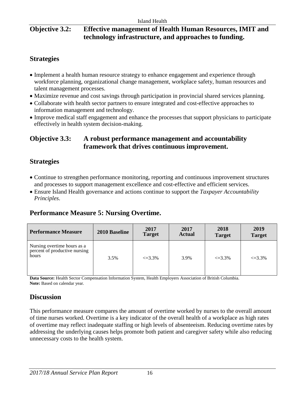#### **Objective 3.2: Effective management of Health Human Resources, IMIT and technology infrastructure, and approaches to funding.**

#### **Strategies**

- Implement a health human resource strategy to enhance engagement and experience through workforce planning, organizational change management, workplace safety, human resources and talent management processes.
- Maximize revenue and cost savings through participation in provincial shared services planning.
- Collaborate with health sector partners to ensure integrated and cost-effective approaches to information management and technology.
- Improve medical staff engagement and enhance the processes that support physicians to participate effectively in health system decision-making.

#### **Objective 3.3: A robust performance management and accountability framework that drives continuous improvement.**

#### **Strategies**

- Continue to strengthen performance monitoring, reporting and continuous improvement structures and processes to support management excellence and cost-effective and efficient services.
- Ensure Island Health governance and actions continue to support the *Taxpayer Accountability Principles*.

#### **Performance Measure 5: Nursing Overtime.**

| Performance Measure                                                   | 2010 Baseline | 2017<br><b>Target</b> | 2017<br><b>Actual</b> | 2018<br><b>Target</b> | 2019<br><b>Target</b> |
|-----------------------------------------------------------------------|---------------|-----------------------|-----------------------|-----------------------|-----------------------|
| Nursing overtime hours as a<br>percent of productive nursing<br>hours | 3.5%          | $\leq 3.3\%$          | 3.9%                  | $\leq 3.3\%$          | $\leq 3.3\%$          |

**Data Source:** Health Sector Compensation Information System, Health Employers Association of British Columbia. Note: Based on calendar year.

#### **Discussion**

This performance measure compares the amount of overtime worked by nurses to the overall amount of time nurses worked. Overtime is a key indicator of the overall health of a workplace as high rates of overtime may reflect inadequate staffing or high levels of absenteeism. Reducing overtime rates by addressing the underlying causes helps promote both patient and caregiver safety while also reducing unnecessary costs to the health system.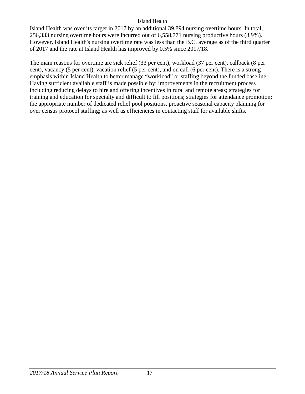#### Island Health

Island Health was over its target in 2017 by an additional 39,894 nursing overtime hours. In total, 256,333 nursing overtime hours were incurred out of 6,558,771 nursing productive hours (3.9%). However, Island Health's nursing overtime rate was less than the B.C. average as of the third quarter of 2017 and the rate at Island Health has improved by 0.5% since 2017/18.

The main reasons for overtime are sick relief (33 per cent), workload (37 per cent), callback (8 per cent), vacancy (5 per cent), vacation relief (5 per cent), and on call (6 per cent). There is a strong emphasis within Island Health to better manage "workload" or staffing beyond the funded baseline. Having sufficient available staff is made possible by: improvements in the recruitment process including reducing delays to hire and offering incentives in rural and remote areas; strategies for training and education for specialty and difficult to fill positions; strategies for attendance promotion; the appropriate number of dedicated relief pool positions, proactive seasonal capacity planning for over census protocol staffing; as well as efficiencies in contacting staff for available shifts.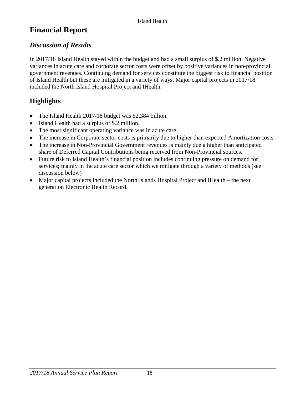## <span id="page-17-0"></span>**Financial Report**

#### <span id="page-17-1"></span>*Discussion of Results*

In 2017/18 Island Health stayed within the budget and had a small surplus of \$.2 million. Negative variances in acute care and corporate sector costs were offset by positive variances in non-provincial government revenues. Continuing demand for services constitute the biggest risk to financial position of Island Health but these are mitigated in a variety of ways. Major capital projects in 2017/18 included the North Island Hospital Project and IHealth.

## **Highlights**

- The Island Health 2017/18 budget was \$2.384 billion.
- Island Health had a surplus of \$.2 million.
- The most significant operating variance was in acute care.
- The increase in Corporate sector costs is primarily due to higher than expected Amortization costs.
- The increase in Non-Provincial Government revenues is mainly due a higher than anticipated share of Deferred Capital Contributions being received from Non-Provincial sources.
- Future risk to Island Health's financial position includes continuing pressure on demand for services; mainly in the acute care sector which we mitigate through a variety of methods (see discussion below)
- Major capital projects included the North Islands Hospital Project and IHealth the next generation Electronic Health Record.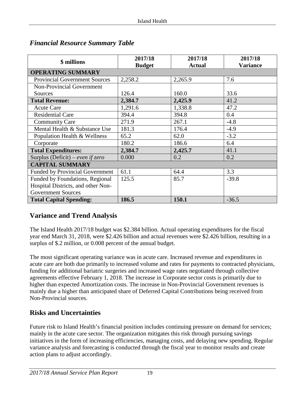| \$ millions                            | 2017/18<br><b>Budget</b> | 2017/18<br><b>Actual</b> | 2017/18<br><b>Variance</b> |
|----------------------------------------|--------------------------|--------------------------|----------------------------|
| <b>OPERATING SUMMARY</b>               |                          |                          |                            |
| <b>Provincial Government Sources</b>   | 2,258.2                  | 2,265.9                  | 7.6                        |
| Non-Provincial Government              |                          |                          |                            |
| Sources                                | 126.4                    | 160.0                    | 33.6                       |
| <b>Total Revenue:</b>                  | 2,384.7                  | 2,425.9                  | 41.2                       |
| <b>Acute Care</b>                      | 1,291.6                  | 1,338.8                  | 47.2                       |
| <b>Residential Care</b>                | 394.4                    | 394.8                    | 0.4                        |
| <b>Community Care</b>                  | 271.9                    | 267.1                    | $-4.8$                     |
| Mental Health & Substance Use          | 181.3                    | 176.4                    | $-4.9$                     |
| Population Health & Wellness           | 65.2                     | 62.0                     | $-3.2$                     |
| Corporate                              | 180.2                    | 186.6                    | 6.4                        |
| <b>Total Expenditures:</b>             | 2,384.7                  | 2,425.7                  | 41.1                       |
| Surplus (Deficit) – even if zero       | 0.000                    | 0.2                      | 0.2                        |
| <b>CAPITAL SUMMARY</b>                 |                          |                          |                            |
| <b>Funded by Provincial Government</b> | 61.1                     | 64.4                     | 3.3                        |
| Funded by Foundations, Regional        | 125.5                    | 85.7                     | $-39.8$                    |
| Hospital Districts, and other Non-     |                          |                          |                            |
| <b>Government Sources</b>              |                          |                          |                            |
| <b>Total Capital Spending:</b>         | 186.5                    | 150.1                    | $-36.5$                    |

#### <span id="page-18-0"></span>*Financial Resource Summary Table*

#### **Variance and Trend Analysis**

The Island Health 2017/18 budget was \$2.384 billion. Actual operating expenditures for the fiscal year end March 31, 2018, were \$2.426 billion and actual revenues were \$2.426 billion, resulting in a surplus of \$.2 million, or 0.008 percent of the annual budget.

The most significant operating variance was in acute care. Increased revenue and expenditures in acute care are both due primarily to increased volume and rates for payments to contracted physicians, funding for additional bariatric surgeries and increased wage rates negotiated through collective agreements effective February 1, 2018. The increase in Corporate sector costs is primarily due to higher than expected Amortization costs. The increase in Non-Provincial Government revenues is mainly due a higher than anticipated share of Deferred Capital Contributions being received from Non-Provincial sources.

#### **Risks and Uncertainties**

Future risk to Island Health's financial position includes continuing pressure on demand for services; mainly in the acute care sector. The organization mitigates this risk through pursuing savings initiatives in the form of increasing efficiencies, managing costs, and delaying new spending. Regular variance analysis and forecasting is conducted through the fiscal year to monitor results and create action plans to adjust accordingly.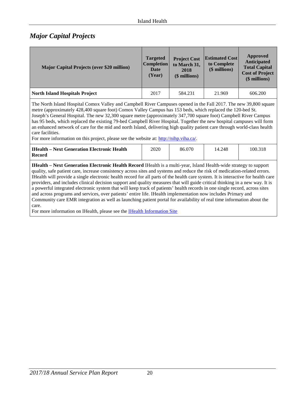#### <span id="page-19-0"></span>*Major Capital Projects*

| <b>Major Capital Projects (over \$20 million)</b> | <b>Targeted</b><br><b>Completion</b><br>Date<br>(Year) | <b>Project Cost</b><br>to March 31,<br>2018<br>(\$ millions) | <b>Estimated Cost</b><br>to Complete<br>(\$ millions) | Approved<br><b>Anticipated</b><br><b>Total Capital</b><br><b>Cost of Project</b><br>(\$ millions) |
|---------------------------------------------------|--------------------------------------------------------|--------------------------------------------------------------|-------------------------------------------------------|---------------------------------------------------------------------------------------------------|
| <b>North Island Hospitals Project</b>             | 2017                                                   | 584.231                                                      | 21.969                                                | 606.200                                                                                           |
|                                                   |                                                        |                                                              |                                                       |                                                                                                   |

The North Island Hospital Comox Valley and Campbell River Campuses opened in the Fall 2017. The new 39,800 square metre (approximately 428,400 square foot) Comox Valley Campus has 153 beds, which replaced the 120-bed St. Joseph's General Hospital. The new 32,300 square metre (approximately 347,700 square foot) Campbell River Campus has 95 beds, which replaced the existing 79-bed Campbell River Hospital. Together the new hospital campuses will form an enhanced network of care for the mid and north Island, delivering high quality patient care through world-class health care facilities.

For more information on this project, please see the website at: [http://nihp.viha.ca/.](http://nihp.viha.ca/)

| IHealth – Next Generation Electronic Health | 2020 | 86.070 | 14.248 | 100.318 |
|---------------------------------------------|------|--------|--------|---------|
| Record                                      |      |        |        |         |

**IHealth – Next Generation Electronic Health Record** IHealth is a multi-year, Island Health-wide strategy to support quality, safe patient care, increase consistency across sites and systems and reduce the risk of medication-related errors. IHealth will provide a single electronic health record for all parts of the health care system. It is interactive for health care providers, and includes clinical decision support and quality measures that will guide critical thinking in a new way. It is a powerful integrated electronic system that will keep track of patients' health records in one single record, across sites and across programs and services, over patients' entire life. IHealth implementation now includes Primary and Community care EMR integration as well as launching patient portal for availability of real time information about the care.

For more information on IHealth, please see the **IHealth Information Site**